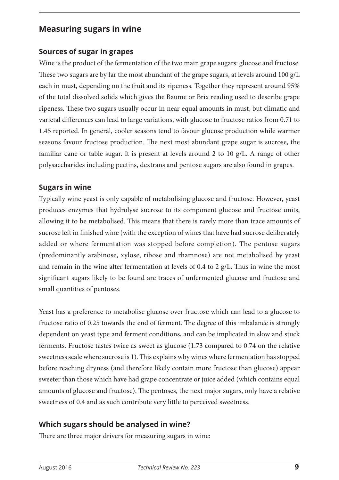## **Measuring sugars in wine**

#### **Sources of sugar in grapes**

Wine is the product of the fermentation of the two main grape sugars: glucose and fructose. These two sugars are by far the most abundant of the grape sugars, at levels around 100 g/L each in must, depending on the fruit and its ripeness. Together they represent around 95% of the total dissolved solids which gives the Baume or Brix reading used to describe grape ripeness. These two sugars usually occur in near equal amounts in must, but climatic and varietal differences can lead to large variations, with glucose to fructose ratios from 0.71 to 1.45 reported. In general, cooler seasons tend to favour glucose production while warmer seasons favour fructose production. The next most abundant grape sugar is sucrose, the familiar cane or table sugar. It is present at levels around 2 to 10 g/L. A range of other polysaccharides including pectins, dextrans and pentose sugars are also found in grapes.

#### **Sugars in wine**

Typically wine yeast is only capable of metabolising glucose and fructose. However, yeast produces enzymes that hydrolyse sucrose to its component glucose and fructose units, allowing it to be metabolised. This means that there is rarely more than trace amounts of sucrose left in finished wine (with the exception of wines that have had sucrose deliberately added or where fermentation was stopped before completion). The pentose sugars (predominantly arabinose, xylose, ribose and rhamnose) are not metabolised by yeast and remain in the wine after fermentation at levels of 0.4 to 2  $g/L$ . Thus in wine the most significant sugars likely to be found are traces of unfermented glucose and fructose and small quantities of pentoses.

Yeast has a preference to metabolise glucose over fructose which can lead to a glucose to fructose ratio of 0.25 towards the end of ferment. The degree of this imbalance is strongly dependent on yeast type and ferment conditions, and can be implicated in slow and stuck ferments. Fructose tastes twice as sweet as glucose (1.73 compared to 0.74 on the relative sweetness scale where sucrose is 1). This explains why wines where fermentation has stopped before reaching dryness (and therefore likely contain more fructose than glucose) appear sweeter than those which have had grape concentrate or juice added (which contains equal amounts of glucose and fructose). The pentoses, the next major sugars, only have a relative sweetness of 0.4 and as such contribute very little to perceived sweetness.

# **Which sugars should be analysed in wine?**

There are three major drivers for measuring sugars in wine: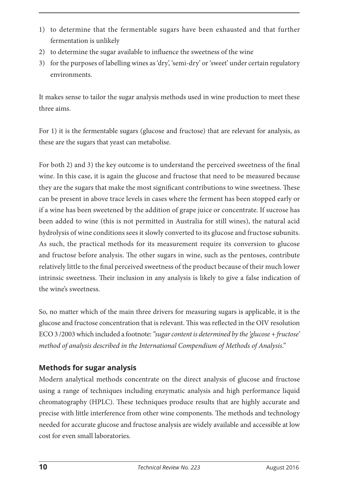- 1) to determine that the fermentable sugars have been exhausted and that further fermentation is unlikely
- 2) to determine the sugar available to influence the sweetness of the wine
- 3) for the purposes of labelling wines as 'dry', 'semi-dry' or 'sweet' under certain regulatory environments.

It makes sense to tailor the sugar analysis methods used in wine production to meet these three aims.

For 1) it is the fermentable sugars (glucose and fructose) that are relevant for analysis, as these are the sugars that yeast can metabolise.

For both 2) and 3) the key outcome is to understand the perceived sweetness of the final wine. In this case, it is again the glucose and fructose that need to be measured because they are the sugars that make the most significant contributions to wine sweetness. These can be present in above trace levels in cases where the ferment has been stopped early or if a wine has been sweetened by the addition of grape juice or concentrate. If sucrose has been added to wine (this is not permitted in Australia for still wines), the natural acid hydrolysis of wine conditions sees it slowly converted to its glucose and fructose subunits. As such, the practical methods for its measurement require its conversion to glucose and fructose before analysis. The other sugars in wine, such as the pentoses, contribute relatively little to the final perceived sweetness of the product because of their much lower intrinsic sweetness. Their inclusion in any analysis is likely to give a false indication of the wine's sweetness.

So, no matter which of the main three drivers for measuring sugars is applicable, it is the glucose and fructose concentration that is relevant. This was reflected in the OIV resolution ECO 3 /2003 which included a footnote: *"sugar content is determined by the 'glucose + fructose' method of analysis described in the International Compendium of Methods of Analysis."*

# **Methods for sugar analysis**

Modern analytical methods concentrate on the direct analysis of glucose and fructose using a range of techniques including enzymatic analysis and high performance liquid chromatography (HPLC). These techniques produce results that are highly accurate and precise with little interference from other wine components. The methods and technology needed for accurate glucose and fructose analysis are widely available and accessible at low cost for even small laboratories.